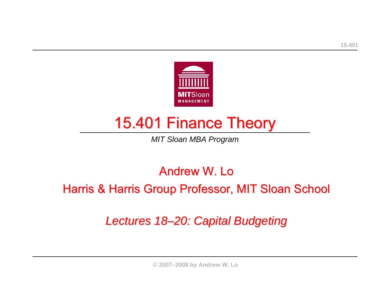

# 15.401 Finance Theory

*MIT Sloan MBA Program*

## Andrew W. Lo

## Harris & Harris Group Professor, MIT Sloan School

## *Lectures 18 Lectures 18–20: Capital Budgeting : Capital Budgeting*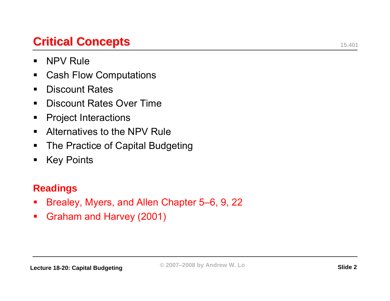## **Critical Concepts Critical Concepts**

- $\blacksquare$ NPV Rule
- $\blacksquare$ Cash Flow Computations
- $\blacksquare$ Discount Rates
- $\blacksquare$ Discount Rates Over Time
- $\blacksquare$ Project Interactions
- $\blacksquare$ Alternatives to the NPV Rule
- $\blacksquare$ The Practice of Capital Budgeting
- $\blacksquare$ Key Points

### **Readings**

- $\blacksquare$ Brealey, Myers, and Allen Chapter 5–6, 9, 22
- $\mathbf{r}$ Graham and Harvey (2001)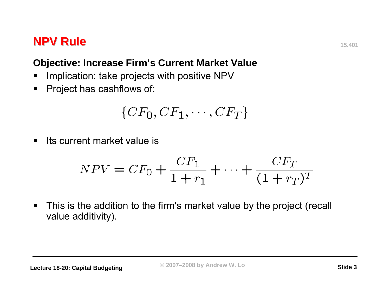## **NPV Rule NPV Rule**

### **Objective: Increase Firm's Current Market Value**

- $\blacksquare$ Implication: take projects with positive NPV
- $\blacksquare$ Project has cashflows of:

$$
\{CF_0, CF_1, \cdots, CF_T\}
$$

 $\blacksquare$ Its current market value is

$$
NPV = CF_0 + \frac{CF_1}{1 + r_1} + \dots + \frac{CF_T}{(1 + r_T)^T}
$$

 $\blacksquare$  This is the addition to the firm's market value by the project (recall value additivity).

**15.401**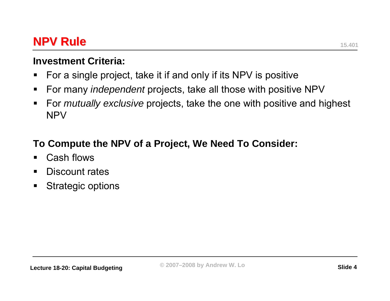## **NPV Rule NPV Rule**

#### **Investment Criteria:**

- $\blacksquare$ For a single project, take it if and only if its NPV is positive
- $\blacksquare$ For many *independent* projects, take all those with positive NPV
- $\blacksquare$  For *mutually exclusive* projects, take the one with positive and highest NPV

### **To Compute the NPV of a Project, We Need To Consider:**

- $\blacksquare$ Cash flows
- $\blacksquare$ Discount rates
- $\blacksquare$ Strategic options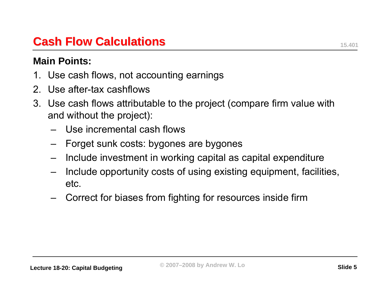## **Cash Flow Calculations Cash Flow Calculations**

#### **Main Points:**

- 1. Use cash flows, not accounting earnings
- 2. Use after-tax cashflows
- 3. Use cash flows attributable to the project (compare firm value with and without the project):
	- Use incremental cash flows
	- –Forget sunk costs: bygones are bygones
	- –Include investment in working capital as capital expenditure
	- – Include opportunity costs of using existing equipment, facilities, etc.
	- –Correct for biases from fighting for resources inside firm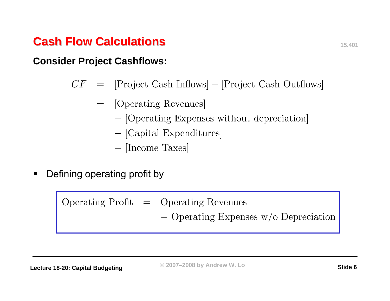#### **Consider Project Cashflows:**

$$
CF = [Project Cash Inflows] - [Project Cash Outflows]
$$

- [Operating Expenses without depreciation]
- $-$  [Capital Expenditures]
- $-$  [Income Taxes]
- $\overline{\phantom{a}}$ Defining operating profit by

Operating Profit  $=$  Operating Revenues  $-$  Operating Expenses w/o Depreciation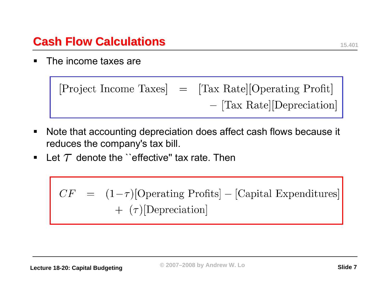The income taxes are

[Project Income Taxes] = [Tax Rate][Operating Profit]  $-$  [Tax Rate][Depreciation]

- $\blacksquare$  Note that accounting depreciation does affect cash flows because it reduces the company's tax bill.
- $\blacksquare$ Let  $\tau$  denote the ``effective'' tax rate. Then

 $CF = (1-\tau)$ [Operating Profits] – [Capital Expenditures]<br>+ ( $\tau$ )[Depreciation]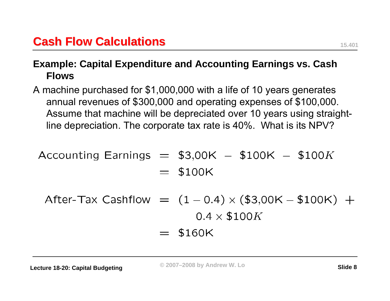**Example: Capital Expenditure and Accounting Earnings vs. Cash Flows**

A machine purchased for \$1,000,000 with a life of 10 years generates annual revenues of \$300,000 and operating expenses of \$100,000. Assume that machine will be depreciated over 10 years using straightline depreciation. The corporate tax rate is 40%. What is its NPV?

$$
\begin{array}{rcl}\n\text{According Earning} &=& \$3,00\text{K} - \$100\text{K} - \$100\text{K} \\
&=& \$100\text{K}\n\end{array}
$$

After-Tax Cashflow =  $(1 - 0.4) \times (43,00K - 100K) +$  $0.4 \times \$100K$ 

### $=$  \$160K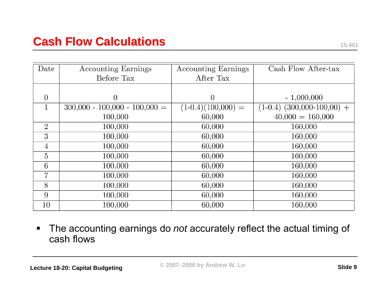| Date           | <b>Accounting Earnings</b>      | <b>Accounting Earnings</b> | Cash Flow After-tax            |
|----------------|---------------------------------|----------------------------|--------------------------------|
|                | Before Tax                      | After Tax                  |                                |
|                |                                 |                            |                                |
| $\overline{0}$ | $\theta$                        | $\overline{0}$             | $-1,000,000$                   |
| $\mathbf 1$    | $300,000 - 100,000 - 100,000 =$ | $(1-0.4)(100,000) =$       | $(1-0.4)$ $(300,000-100,00)$ + |
|                | 100,000                         | 60,000                     | $40,000 = 160,000$             |
| $\overline{2}$ | 100,000                         | 60,000                     | 160,000                        |
| 3              | 100,000                         | 60,000                     | 160,000                        |
| $\overline{4}$ | 100,000                         | 60,000                     | 160,000                        |
| $\overline{5}$ | 100,000                         | 60,000                     | 160,000                        |
| 6              | 100,000                         | 60,000                     | 160,000                        |
| $\overline{7}$ | 100,000                         | 60,000                     | 160,000                        |
| 8              | 100,000                         | 60,000                     | 160,000                        |
| 9              | 100,000                         | 60,000                     | 160,000                        |
| 10             | 100,000                         | 60,000                     | 160,000                        |

 $\blacksquare$  The accounting earnings do *not* accurately reflect the actual timing of cash flows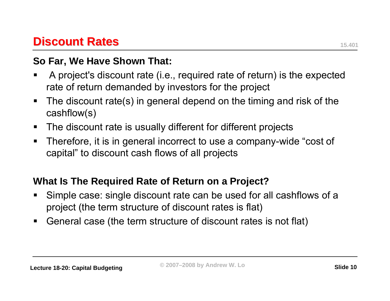## **Discount Rates Discount Rates**

#### **So Far, We Have Shown That:**

- A project's discount rate (i.e., required rate of return) is the expected rate of return demanded by investors for the project
- $\blacksquare$  The discount rate(s) in general depend on the timing and risk of the cashflow(s)
- $\blacksquare$ The discount rate is usually different for different projects
- $\blacksquare$  Therefore, it is in general incorrect to use a company-wide "cost of capital" to discount cash flows of all projects

#### **What Is The Required Rate of Return on a Project?**

- $\blacksquare$  Simple case: single discount rate can be used for all cashflows of a project (the term structure of discount rates is flat)
- $\blacksquare$ General case (the term structure of discount rates is not flat)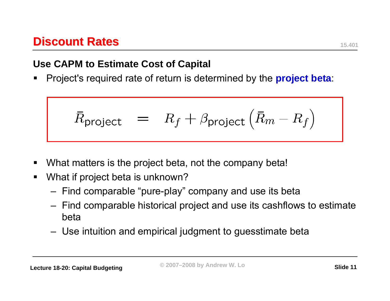### **Use CAPM to Estimate Cost of Capital**

Project's required rate of return is determined by the **project beta**:

$$
\bar{R}_{\text{project}} = R_f + \beta_{\text{project}} \left( \bar{R}_m - R_f \right)
$$

- $\blacksquare$ What matters is the project beta, not the company beta!
- $\blacksquare$  What if project beta is unknown?
	- –– Find comparable "pure-play" company and use its beta
	- – $-$  Find comparable historical project and use its cashflows to estimate beta
	- –Use intuition and empirical judgment to guesstimate beta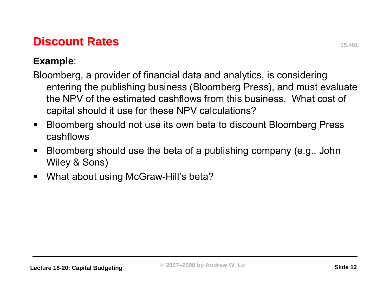- Bloomberg, a provider of financial data and analytics, is considering entering the publishing business (Bloomberg Press), and must evaluate the NPV of the estimated cashflows from this business. What cost of capital should it use for these NPV calculations?
- $\blacksquare$  Bloomberg should not use its own beta to discount Bloomberg Press cashflows
- $\blacksquare$  Bloomberg should use the beta of a publishing company (e.g., John Wiley & Sons)
- $\blacksquare$ What about using McGraw-Hill's beta?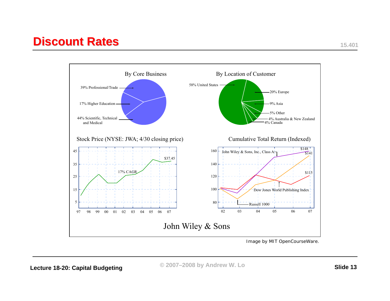## **Discount Rates Discount Rates**



Image by MIT OpenCourseWare.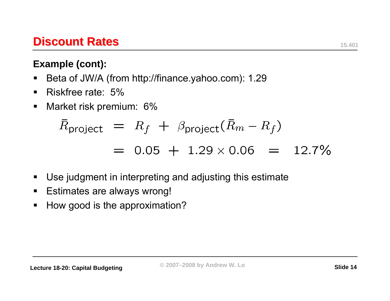## **Discount Rates Discount Rates**

## **Example (cont):**

- $\blacksquare$ Beta of JW/A (from http://finance.yahoo.com): 1.29
- $\blacksquare$ ■ Riskfree rate: 5%
- $\qquad \qquad \blacksquare$ Market risk premium: 6%

$$
\bar{R}_{\text{project}} = R_f + \beta_{\text{project}} (\bar{R}_m - R_f)
$$
  
= 0.05 + 1.29 × 0.06 = 12.7%

- $\blacksquare$ Use judgment in interpreting and adjusting this estimate
- $\blacksquare$ Estimates are always wrong!
- $\blacksquare$ How good is the approximation?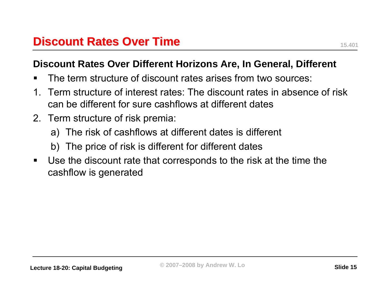#### **Discount Rates Over Different Horizons Are, In General, Different**

- The term structure of discount rates arises from two sources:
- 1. Term structure of interest rates: The discount rates in absence of risk can be different for sure cashflows at different dates
- 2. Term structure of risk premia:
	- a) The risk of cashflows at different dates is different
	- b) The price of risk is different for different dates
- $\blacksquare$  Use the discount rate that corresponds to the risk at the time the cashflow is generated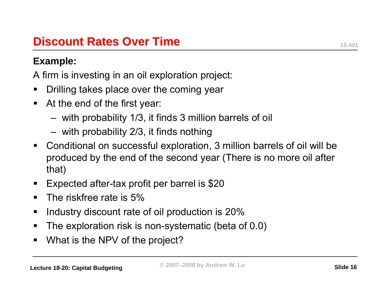## **Discount Rates Over Time Discount Rates Over Time**

### **Example:**

A firm is investing in an oil exploration project:

- $\blacksquare$ Drilling takes place over the coming year
- $\blacksquare$  At the end of the first year:
	- –with probability 1/3, it finds 3 million barrels of oil
	- – $-$  with probability 2/3, it finds nothing
- $\blacksquare$  Conditional on successful exploration, 3 million barrels of oil will be produced by the end of the second year (There is no more oil after that)
- $\blacksquare$ Expected after-tax profit per barrel is \$20
- $\blacksquare$  $\blacksquare$  The riskfree rate is 5%
- $\blacksquare$ Industry discount rate of oil production is 20%
- $\blacksquare$ The exploration risk is non-systematic (beta of 0.0)
- $\blacksquare$ What is the NPV of the project?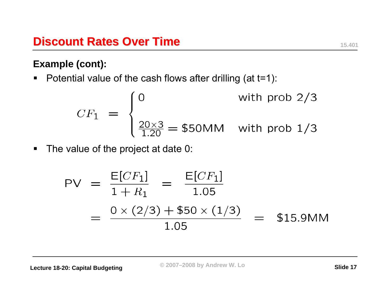### **Example (cont):**

 $\blacksquare$ Potential value of the cash flows after drilling (at t=1):

$$
CF_1 = \begin{cases} 0 & \text{with prob } 2/3\\ \frac{20 \times 3}{1.20} = $50MM & \text{with prob } 1/3 \end{cases}
$$

 $\blacksquare$ The value of the project at date 0:

$$
PV = \frac{E[CF_1]}{1 + R_1} = \frac{E[CF_1]}{1.05}
$$
  
= 
$$
\frac{0 \times (2/3) + $50 \times (1/3)}{1.05} = $15.9MM
$$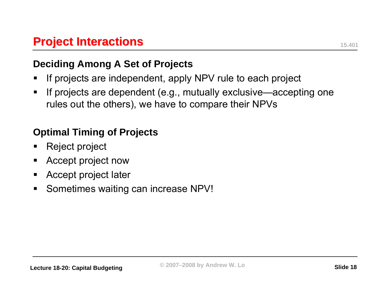## **Project Interactions Project Interactions**

#### **Deciding Among A Set of Projects**

- $\blacksquare$ If projects are independent, apply NPV rule to each project
- $\blacksquare$  If projects are dependent (e.g., mutually exclusive—accepting one rules out the others), we have to compare their NPVs

### **Optimal Timing of Projects**

- $\blacksquare$ Reject project
- $\blacksquare$ Accept project now
- $\blacksquare$ Accept project later
- $\blacksquare$ Sometimes waiting can increase NPV!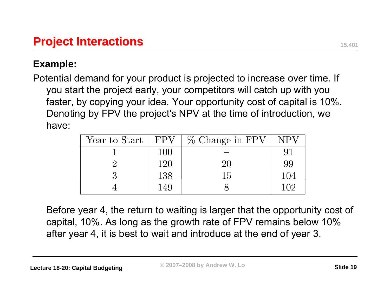Potential demand for your product is projected to increase over time. If you start the project early, your competitors will catch up with you faster, by copying your idea. Your opportunity cost of capital is 10%. Denoting by FPV the project's NPV at the time of introduction, we have:

| Year to Start | FPV | $%$ Change in FPV | NPV |
|---------------|-----|-------------------|-----|
|               | 100 |                   | 91  |
|               | 120 | 20                | 99  |
|               | 138 | 15                | 104 |
|               | 149 |                   | 102 |

Before year 4, the return to waiting is larger that the opportunity cost of capital, 10%. As long as the growth rate of FPV remains below 10% after year 4, it is best to wait and introduce at the end of year 3.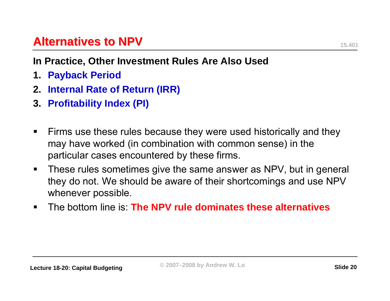## **Alternatives to NPV Alternatives to NPV**

**In Practice, Other Investment Rules Are Also Used**

- **1. Payback Period**
- **2. Internal Rate of Return (IRR)**
- **3. Profitability Index (PI)**
- $\blacksquare$  Firms use these rules because they were used historically and they may have worked (in combination with common sense) in the particular cases encountered by these firms.
- $\blacksquare$  These rules sometimes give the same answer as NPV, but in general they do not. We should be aware of their shortcomings and use NPV whenever possible.
- $\blacksquare$ The bottom line is: **The NPV rule dominates these alternatives**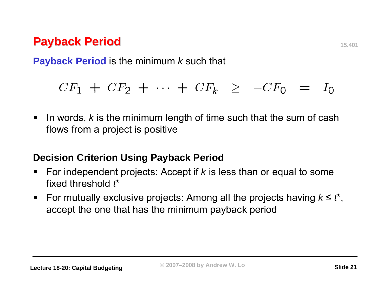**Payback Period** is the minimum *k* such that

$$
CF_1 + CF_2 + \cdots + CF_k \ge -CF_0 = I_0
$$

 $\blacksquare$  In words, *k* is the minimum length of time such that the sum of cash flows from a project is positive

#### **Decision Criterion Using Payback Period**

- $\blacksquare$  For independent projects: Accept if *k* is less than or equal to some fixed threshold *t*\*
- $\blacksquare$  For mutually exclusive projects: Among all the projects having *k* <sup>≤</sup> *t*\*, accept the one that has the minimum payback period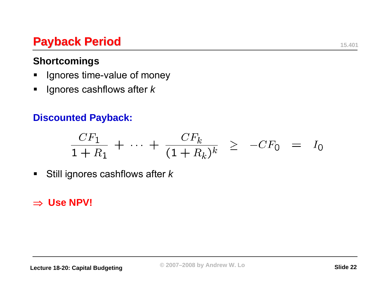## **Payback Period Payback Period**

### **Shortcomings**

- $\blacksquare$ Ignores time-value of money
- $\blacksquare$ Ignores cashflows after *k*

### **Discounted Payback:**

$$
\frac{CF_1}{1+R_1} + \dots + \frac{CF_k}{(1+R_k)^k} \ge -CF_0 = I_0
$$

П Still ignores cashflows after *k*

### ⇒ **Use NPV!**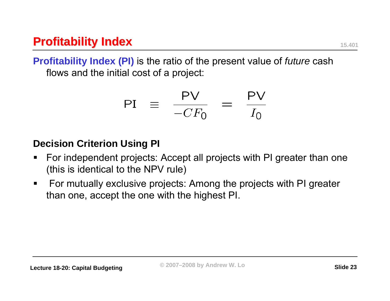## **Profitability Index Profitability Index**

**Profitability Index (PI)** is the ratio of the present value of *future* cash flows and the initial cost of a project:

$$
\text{PI} \quad \equiv \quad \frac{\text{PV}}{-CF_0} \quad = \quad \frac{\text{PV}}{I_0}
$$

#### **Decision Criterion Using PI**

- $\blacksquare$  For independent projects: Accept all projects with PI greater than one (this is identical to the NPV rule)
- $\blacksquare$  For mutually exclusive projects: Among the projects with PI greater than one, accept the one with the highest PI.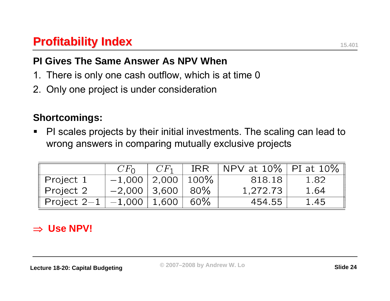## **Profitability Index Profitability Index**

#### **PI Gives The Same Answer As NPV When**

- 1. There is only one cash outflow, which is at time 0
- 2. Only one project is under consideration

#### **Shortcomings:**

 $\blacksquare$  PI scales projects by their initial investments. The scaling can lead to wrong answers in comparing mutually exclusive projects

|               | CF <sub>0</sub>  | $CF_1$ | <b>IRR</b>        | $\mid$ NPV at 10% $\mid$ PI at 10% $\mid$ |      |
|---------------|------------------|--------|-------------------|-------------------------------------------|------|
| Project 1     | $-1,000$   2,000 |        | $^{\circ}$ 100% . | 818.18                                    | 1.82 |
| Project 2     | $-2,000$   3,600 |        | $80\%$            | 1,272.73                                  | 1.64 |
| Project $2-1$ | $[-1,000]$       | 1,600  | $60\%$            | 454.55                                    | 1.45 |

#### ⇒ **Use NPV!**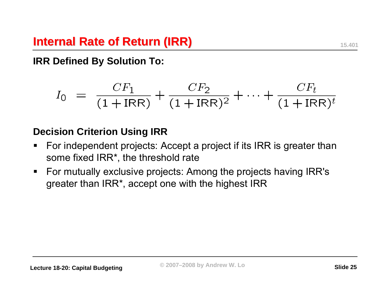**IRR Defined By Solution To:**

$$
I_0 = \frac{CF_1}{(1 + \text{IRR})} + \frac{CF_2}{(1 + \text{IRR})^2} + \dots + \frac{CF_t}{(1 + \text{IRR})^t}
$$

### **Decision Criterion Using IRR**

- $\blacksquare$  For independent projects: Accept a project if its IRR is greater than some fixed IRR\*, the threshold rate
- $\blacksquare$  For mutually exclusive projects: Among the projects having IRR's greater than IRR\*, accept one with the highest IRR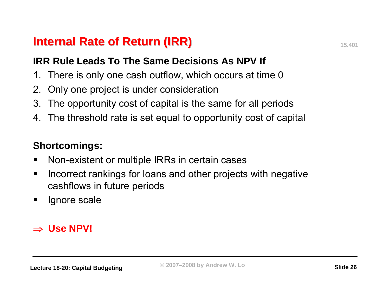## **Internal Rate of Return (IRR) Internal Rate of Return (IRR)**

### **IRR Rule Leads To The Same Decisions As NPV If**

- 1. There is only one cash outflow, which occurs at time 0
- 2.Only one project is under consideration
- 3.The opportunity cost of capital is the same for all periods
- 4. The threshold rate is set equal to opportunity cost of capital

### **Shortcomings:**

- $\blacksquare$ Non-existent or multiple IRRs in certain cases
- $\blacksquare$  Incorrect rankings for loans and other projects with negative cashflows in future periods
- $\blacksquare$ Ignore scale

### ⇒ **Use NPV!**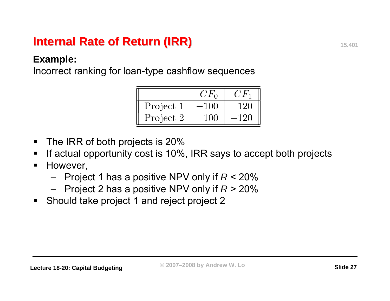Incorrect ranking for loan-type cashflow sequences

|           | $C F_0$ |      |
|-----------|---------|------|
| Project 1 | $-100$  | 120  |
| Project 2 | 100     | –120 |

- $\blacksquare$ The IRR of both projects is 20%
- $\blacksquare$ If actual opportunity cost is 10%, IRR says to accept both projects
- $\blacksquare$  However,
	- –Project 1 has a positive NPV only if *R* < 20%
	- –Project 2 has a positive NPV only if *R* > 20%
- $\blacksquare$ Should take project 1 and reject project 2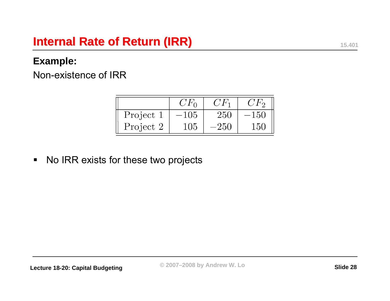Non-existence of IRR

|           | $C F_0$ | C/F    | $C F_2$ |
|-----------|---------|--------|---------|
| Project 1 | -105    | 250    | $-150$  |
| Project 2 | 105     | $-250$ | 150     |

 $\blacksquare$ No IRR exists for these two projects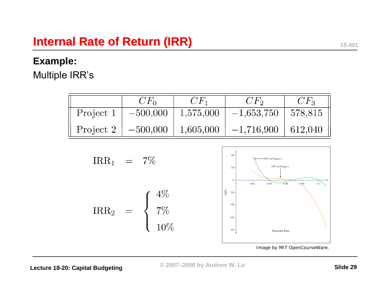Multiple IRR's

|               | $CF_0$     | $CF_1$    | $CF_{2}$               | $CF_3$    |
|---------------|------------|-----------|------------------------|-----------|
| Project 1     | $-500,000$ | 1,575,000 | $-1,653,750$           | $578,815$ |
| Project 2 $ $ | $-500,000$ | 1,605,000 | $-1,716,900$   612,040 |           |

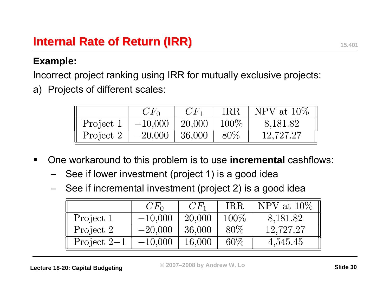Incorrect project ranking using IRR for mutually exclusive projects:

a) Projects of different scales:

|           | $CF_0$    | $CF_1$ | IRR.    | NPV at $10\%$ |
|-----------|-----------|--------|---------|---------------|
| Project 1 | $-10,000$ | 20,000 | $100\%$ | 8,181.82      |
| Project 2 | $-20,000$ | 36,000 | $80\%$  | 12,727.27     |

- One workaround to this problem is to use **incremental** cashflows:
	- –See if lower investment (project 1) is a good idea
	- –See if incremental investment (project 2) is a good idea

|               | $CF_0$    | $CF_1$ | TR.R.   | NPV at $10\%$ |
|---------------|-----------|--------|---------|---------------|
| Project 1     | $-10,000$ | 20,000 | $100\%$ | 8,181.82      |
| Project 2     | $-20,000$ | 36,000 | $80\%$  | 12,727.27     |
| Project $2-1$ | $-10,000$ | 16.000 | $60\%$  | 4,545.45      |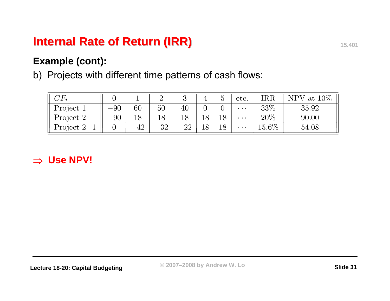### **Example (cont):**

b) Projects with different time patterns of cash flows:

|               |     |        |         |    |     | etc.                                                                                        | IRR    | $10\%$<br>NPV<br>at - |
|---------------|-----|--------|---------|----|-----|---------------------------------------------------------------------------------------------|--------|-----------------------|
| Project 1     | 90  | $60\,$ | $50\,$  |    |     | $\begin{array}{cccccccccccccc} \bullet & \bullet & \bullet & \bullet & \bullet \end{array}$ | $33\%$ | 35.92                 |
| Project 2     | -90 |        |         |    |     | $\cdots$                                                                                    | 20%    | 90.00                 |
| Project $2-1$ |     | 44     | $-32\,$ | 22 | 1 Q | $\bullet$ , $\bullet$ , $\bullet$                                                           | 15.6%  | 54.08                 |

#### ⇒ **Use NPV!**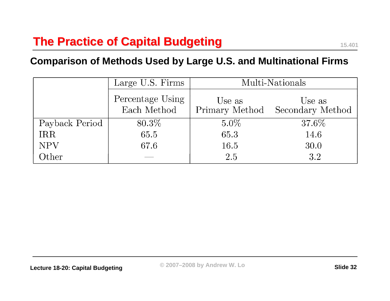#### **Comparison of Methods Used by Large U.S. and Multinational Firms**

|                | Large U.S. Firms                | Multi-Nationals |                                           |  |  |  |
|----------------|---------------------------------|-----------------|-------------------------------------------|--|--|--|
|                | Percentage Using<br>Each Method | Use as          | Use as<br>Primary Method Secondary Method |  |  |  |
| Payback Period | $80.3\%$                        | $5.0\%$         | 37.6%                                     |  |  |  |
| <b>IRR</b>     | 65.5                            | 65.3            | 14.6                                      |  |  |  |
| <b>NPV</b>     | 67.6                            | 16.5            | 30.0                                      |  |  |  |
| Other          |                                 | 2.5             | 3.2                                       |  |  |  |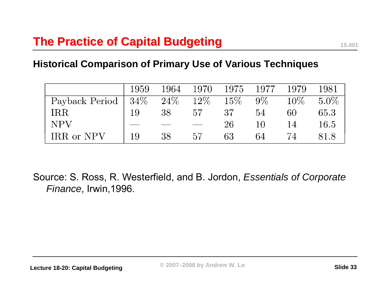#### **Historical Comparison of Primary Use of Various Techniques**

|                              | 1959 | 1964 | 1970   | 1975   | 1977  | 1979   | 1981    |
|------------------------------|------|------|--------|--------|-------|--------|---------|
| Payback Period   $34\%$ 24\% |      |      | $12\%$ | $15\%$ | $9\%$ | $10\%$ | $5.0\%$ |
| <b>IRR</b>                   | 19   | 38   | 57     | 37     | 54    | 60     | 65.3    |
| <b>NPV</b>                   |      |      |        | 26     | 10    | 14     | 16.5    |
| IRR or NPV                   | 19   | 38   | .57    | 63     | 64    | 74     | 81.8    |

Source: S. Ross, R. Westerfield, and B. Jordon, *Essentials of Corporate Finance*, Irwin,1996.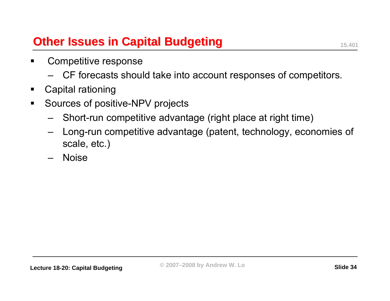## **Other Issues in Capital Budgeting Other Issues in Capital Budgeting**

- Competitive response
	- –CF forecasts should take into account responses of competitors.
- Capital rationing
- $\blacksquare$  Sources of positive-NPV projects
	- –Short-run competitive advantage (right place at right time)
	- – Long-run competitive advantage (patent, technology, economies of scale, etc.)
	- –Noise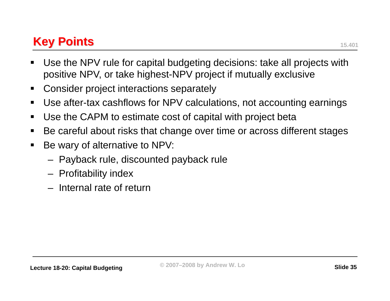## **Key Points Key Points**

- Use the NPV rule for capital budgeting decisions: take all projects with positive NPV, or take highest-NPV project if mutually exclusive
- ٠ Consider project interactions separately
- ٠ Use after-tax cashflows for NPV calculations, not accounting earnings
- ٠ Use the CAPM to estimate cost of capital with project beta
- ٠ Be careful about risks that change over time or across different stages
- Be wary of alternative to NPV:
	- $-$  Payback rule, discounted payback rule
	- Profitability index
	- Internal rate of return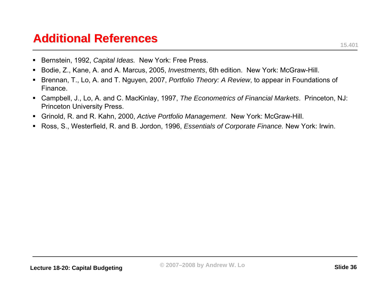## **Additional References Additional References**

- $\blacksquare$ Bernstein, 1992, *Capital Ideas.* New York: Free Press.
- $\blacksquare$ Bodie, Z., Kane, A. and A. Marcus, 2005, *Investments*, 6th edition. New York: McGraw-Hill.
- П Brennan, T., Lo, A. and T. Nguyen, 2007, *Portfolio Theory: A Review*, to appear in Foundations of Finance.
- $\blacksquare$  Campbell, J., Lo, A. and C. MacKinlay, 1997, *The Econometrics of Financial Markets*. Princeton, NJ: Princeton University Press.
- $\blacksquare$ Grinold, R. and R. Kahn, 2000, *Active Portfolio Management*. New York: McGraw-Hill.
- $\blacksquare$ Ross, S., Westerfield, R. and B. Jordon, 1996, *Essentials of Corporate Finance.* New York: Irwin.